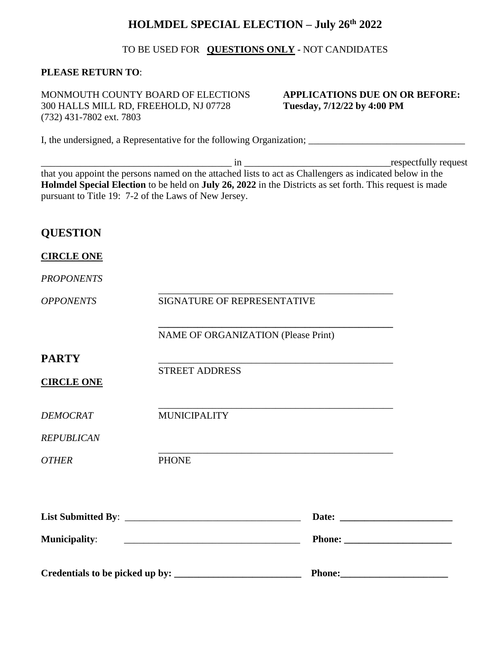# **HOLMDEL SPECIAL ELECTION – July 26th 2022**

#### TO BE USED FOR **QUESTIONS ONLY -** NOT CANDIDATES

### **PLEASE RETURN TO**:

MONMOUTH COUNTY BOARD OF ELECTIONS **APPLICATIONS DUE ON OR BEFORE:** 300 HALLS MILL RD, FREEHOLD, NJ 07728 **Tuesday, 7/12/22 by 4:00 PM** (732) 431-7802 ext. 7803

I, the undersigned, a Representative for the following Organization; \_\_\_\_\_\_\_\_\_\_\_\_\_\_\_\_\_\_\_\_\_\_\_\_\_\_\_\_\_\_\_\_

\_\_\_\_\_\_\_\_\_\_\_\_\_\_\_\_\_\_\_\_\_\_\_\_\_\_\_\_\_\_\_\_\_\_\_\_\_\_\_ in \_\_\_\_\_\_\_\_\_\_\_\_\_\_\_\_\_\_\_\_\_\_\_\_\_\_\_\_\_\_respectfully request that you appoint the persons named on the attached lists to act as Challengers as indicated below in the **Holmdel Special Election** to be held on **July 26, 2022** in the Districts as set forth. This request is made pursuant to Title 19: 7-2 of the Laws of New Jersey.

## **QUESTION**

#### **CIRCLE ONE**

#### *PROPONENTS*

|                                   |                                                      | Phone: |                                                                                                                                                                                                                                |
|-----------------------------------|------------------------------------------------------|--------|--------------------------------------------------------------------------------------------------------------------------------------------------------------------------------------------------------------------------------|
| <b>Municipality:</b>              | <u> 1980 - Jan Barnett, fransk politik (d. 1980)</u> |        | Phone: North Contract of the Contract of the Contract of the Contract of the Contract of the Contract of the Contract of the Contract of the Contract of the Contract of the Contract of the Contract of the Contract of the C |
|                                   |                                                      |        |                                                                                                                                                                                                                                |
| <b>OTHER</b>                      | <b>PHONE</b>                                         |        |                                                                                                                                                                                                                                |
| <b>REPUBLICAN</b>                 |                                                      |        |                                                                                                                                                                                                                                |
| <b>DEMOCRAT</b>                   | <b>MUNICIPALITY</b>                                  |        |                                                                                                                                                                                                                                |
| <b>PARTY</b><br><b>CIRCLE ONE</b> | <b>STREET ADDRESS</b>                                |        |                                                                                                                                                                                                                                |
|                                   | NAME OF ORGANIZATION (Please Print)                  |        |                                                                                                                                                                                                                                |
| <b>OPPONENTS</b>                  | SIGNATURE OF REPRESENTATIVE                          |        |                                                                                                                                                                                                                                |
|                                   |                                                      |        |                                                                                                                                                                                                                                |